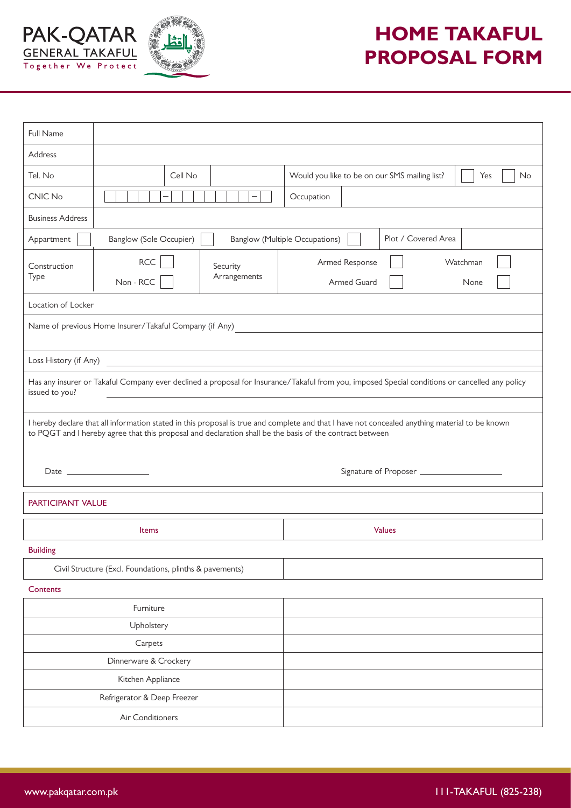



## **HOME TAKAFUL PROPOSAL FORM**

| Full Name                                                                                                                                                                                                                                                     |                                                     |                                                            |  |
|---------------------------------------------------------------------------------------------------------------------------------------------------------------------------------------------------------------------------------------------------------------|-----------------------------------------------------|------------------------------------------------------------|--|
| Address                                                                                                                                                                                                                                                       |                                                     |                                                            |  |
| Tel. No                                                                                                                                                                                                                                                       | Cell No                                             | Would you like to be on our SMS mailing list?<br>No<br>Yes |  |
| CNIC No                                                                                                                                                                                                                                                       |                                                     | Occupation                                                 |  |
| <b>Business Address</b>                                                                                                                                                                                                                                       |                                                     |                                                            |  |
| Plot / Covered Area<br><b>Banglow (Sole Occupier)</b><br><b>Banglow (Multiple Occupations)</b><br>Appartment                                                                                                                                                  |                                                     |                                                            |  |
| Construction<br>Type                                                                                                                                                                                                                                          | <b>RCC</b><br>Security<br>Arrangements<br>Non - RCC | Armed Response<br>Watchman<br>Armed Guard<br>None          |  |
| Location of Locker                                                                                                                                                                                                                                            |                                                     |                                                            |  |
| Name of previous Home Insurer/Takaful Company (if Any)<br><u> 1989 - John Stein, Amerikaansk politiker (* 1958)</u>                                                                                                                                           |                                                     |                                                            |  |
|                                                                                                                                                                                                                                                               |                                                     |                                                            |  |
| Has any insurer or Takaful Company ever declined a proposal for Insurance/Takaful from you, imposed Special conditions or cancelled any policy<br>issued to you?<br>the control of the control of the control of the control of the control of the control of |                                                     |                                                            |  |
| I hereby declare that all information stated in this proposal is true and complete and that I have not concealed anything material to be known<br>to PQGT and I hereby agree that this proposal and declaration shall be the basis of the contract between    |                                                     |                                                            |  |
| <b>PARTICIPANT VALUE</b>                                                                                                                                                                                                                                      |                                                     |                                                            |  |
|                                                                                                                                                                                                                                                               | <b>Items</b>                                        | <b>Values</b>                                              |  |
| <b>Building</b>                                                                                                                                                                                                                                               |                                                     |                                                            |  |
| Civil Structure (Excl. Foundations, plinths & pavements)                                                                                                                                                                                                      |                                                     |                                                            |  |
| Contents                                                                                                                                                                                                                                                      |                                                     |                                                            |  |
| Furniture                                                                                                                                                                                                                                                     |                                                     |                                                            |  |
| Upholstery                                                                                                                                                                                                                                                    |                                                     |                                                            |  |
| Carpets                                                                                                                                                                                                                                                       |                                                     |                                                            |  |
| Dinnerware & Crockery                                                                                                                                                                                                                                         |                                                     |                                                            |  |
| Kitchen Appliance                                                                                                                                                                                                                                             |                                                     |                                                            |  |
| Refrigerator & Deep Freezer                                                                                                                                                                                                                                   |                                                     |                                                            |  |
| Air Conditioners                                                                                                                                                                                                                                              |                                                     |                                                            |  |